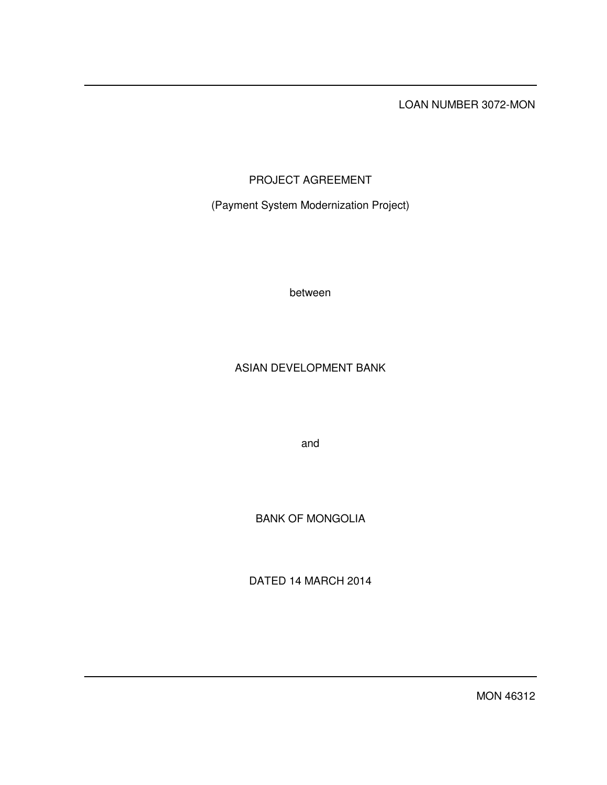LOAN NUMBER 3072-MON

# PROJECT AGREEMENT

(Payment System Modernization Project)

between

# ASIAN DEVELOPMENT BANK

and

BANK OF MONGOLIA

DATED 14 MARCH 2014

MON 46312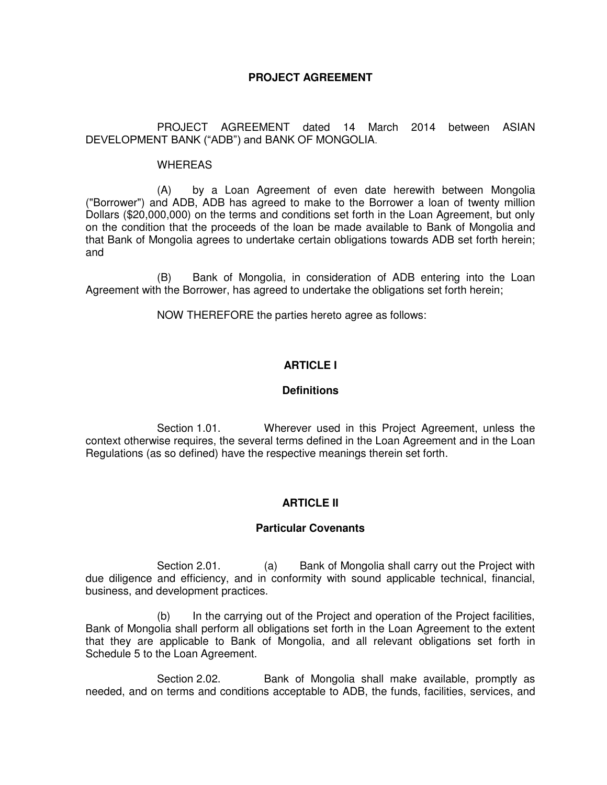# **PROJECT AGREEMENT**

 PROJECT AGREEMENT dated 14 March 2014 between ASIAN DEVELOPMENT BANK ("ADB") and BANK OF MONGOLIA.

#### WHEREAS

 (A) by a Loan Agreement of even date herewith between Mongolia ("Borrower") and ADB, ADB has agreed to make to the Borrower a loan of twenty million Dollars (\$20,000,000) on the terms and conditions set forth in the Loan Agreement, but only on the condition that the proceeds of the loan be made available to Bank of Mongolia and that Bank of Mongolia agrees to undertake certain obligations towards ADB set forth herein; and

(B) Bank of Mongolia, in consideration of ADB entering into the Loan Agreement with the Borrower, has agreed to undertake the obligations set forth herein;

NOW THEREFORE the parties hereto agree as follows:

# **ARTICLE I**

### **Definitions**

 Section 1.01. Wherever used in this Project Agreement, unless the context otherwise requires, the several terms defined in the Loan Agreement and in the Loan Regulations (as so defined) have the respective meanings therein set forth.

# **ARTICLE II**

### **Particular Covenants**

Section 2.01. (a) Bank of Mongolia shall carry out the Project with due diligence and efficiency, and in conformity with sound applicable technical, financial, business, and development practices.

 (b) In the carrying out of the Project and operation of the Project facilities, Bank of Mongolia shall perform all obligations set forth in the Loan Agreement to the extent that they are applicable to Bank of Mongolia, and all relevant obligations set forth in Schedule 5 to the Loan Agreement.

Section 2.02. Bank of Mongolia shall make available, promptly as needed, and on terms and conditions acceptable to ADB, the funds, facilities, services, and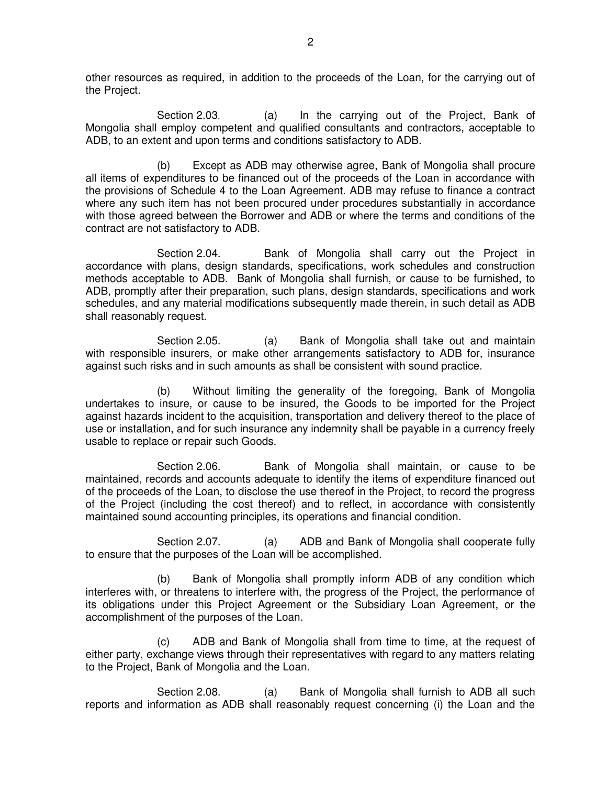other resources as required, in addition to the proceeds of the Loan, for the carrying out of the Project.

Section 2.03. (a) In the carrying out of the Project, Bank of Mongolia shall employ competent and qualified consultants and contractors, acceptable to ADB, to an extent and upon terms and conditions satisfactory to ADB.

 (b) Except as ADB may otherwise agree, Bank of Mongolia shall procure all items of expenditures to be financed out of the proceeds of the Loan in accordance with the provisions of Schedule 4 to the Loan Agreement. ADB may refuse to finance a contract where any such item has not been procured under procedures substantially in accordance with those agreed between the Borrower and ADB or where the terms and conditions of the contract are not satisfactory to ADB.

 Section 2.04. Bank of Mongolia shall carry out the Project in accordance with plans, design standards, specifications, work schedules and construction methods acceptable to ADB. Bank of Mongolia shall furnish, or cause to be furnished, to ADB, promptly after their preparation, such plans, design standards, specifications and work schedules, and any material modifications subsequently made therein, in such detail as ADB shall reasonably request.

 Section 2.05. (a) Bank of Mongolia shall take out and maintain with responsible insurers, or make other arrangements satisfactory to ADB for, insurance against such risks and in such amounts as shall be consistent with sound practice.

 (b) Without limiting the generality of the foregoing, Bank of Mongolia undertakes to insure, or cause to be insured, the Goods to be imported for the Project against hazards incident to the acquisition, transportation and delivery thereof to the place of use or installation, and for such insurance any indemnity shall be payable in a currency freely usable to replace or repair such Goods.

Section 2.06. Bank of Mongolia shall maintain, or cause to be maintained, records and accounts adequate to identify the items of expenditure financed out of the proceeds of the Loan, to disclose the use thereof in the Project, to record the progress of the Project (including the cost thereof) and to reflect, in accordance with consistently maintained sound accounting principles, its operations and financial condition.

Section 2.07. (a) ADB and Bank of Mongolia shall cooperate fully to ensure that the purposes of the Loan will be accomplished.

 (b) Bank of Mongolia shall promptly inform ADB of any condition which interferes with, or threatens to interfere with, the progress of the Project, the performance of its obligations under this Project Agreement or the Subsidiary Loan Agreement, or the accomplishment of the purposes of the Loan.

 (c) ADB and Bank of Mongolia shall from time to time, at the request of either party, exchange views through their representatives with regard to any matters relating to the Project, Bank of Mongolia and the Loan.

Section 2.08. (a) Bank of Mongolia shall furnish to ADB all such reports and information as ADB shall reasonably request concerning (i) the Loan and the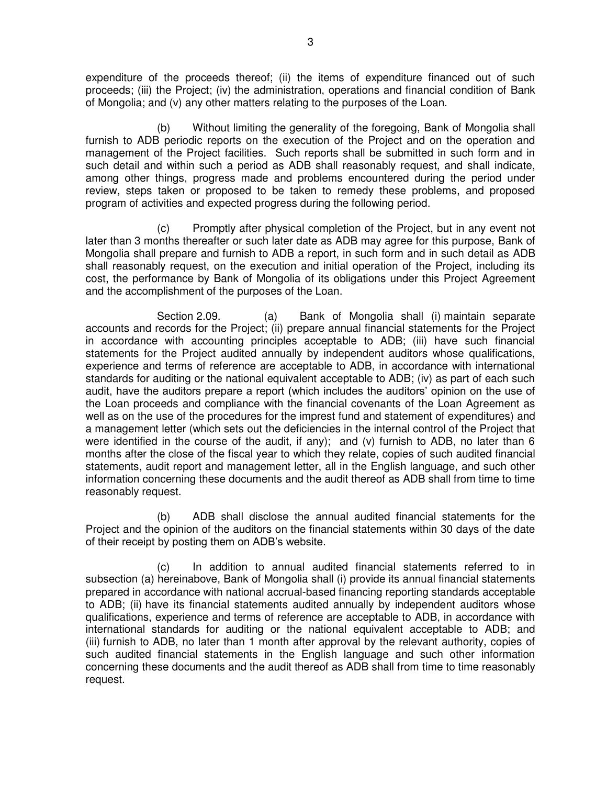expenditure of the proceeds thereof; (ii) the items of expenditure financed out of such proceeds; (iii) the Project; (iv) the administration, operations and financial condition of Bank of Mongolia; and (v) any other matters relating to the purposes of the Loan.

 (b) Without limiting the generality of the foregoing, Bank of Mongolia shall furnish to ADB periodic reports on the execution of the Project and on the operation and management of the Project facilities. Such reports shall be submitted in such form and in such detail and within such a period as ADB shall reasonably request, and shall indicate, among other things, progress made and problems encountered during the period under review, steps taken or proposed to be taken to remedy these problems, and proposed program of activities and expected progress during the following period.

 (c) Promptly after physical completion of the Project, but in any event not later than 3 months thereafter or such later date as ADB may agree for this purpose, Bank of Mongolia shall prepare and furnish to ADB a report, in such form and in such detail as ADB shall reasonably request, on the execution and initial operation of the Project, including its cost, the performance by Bank of Mongolia of its obligations under this Project Agreement and the accomplishment of the purposes of the Loan.

Section 2.09. (a) Bank of Mongolia shall (i) maintain separate accounts and records for the Project; (ii) prepare annual financial statements for the Project in accordance with accounting principles acceptable to ADB; (iii) have such financial statements for the Project audited annually by independent auditors whose qualifications, experience and terms of reference are acceptable to ADB, in accordance with international standards for auditing or the national equivalent acceptable to ADB; (iv) as part of each such audit, have the auditors prepare a report (which includes the auditors' opinion on the use of the Loan proceeds and compliance with the financial covenants of the Loan Agreement as well as on the use of the procedures for the imprest fund and statement of expenditures) and a management letter (which sets out the deficiencies in the internal control of the Project that were identified in the course of the audit, if any); and (v) furnish to ADB, no later than 6 months after the close of the fiscal year to which they relate, copies of such audited financial statements, audit report and management letter, all in the English language, and such other information concerning these documents and the audit thereof as ADB shall from time to time reasonably request.

 (b) ADB shall disclose the annual audited financial statements for the Project and the opinion of the auditors on the financial statements within 30 days of the date of their receipt by posting them on ADB's website.

(c) In addition to annual audited financial statements referred to in subsection (a) hereinabove, Bank of Mongolia shall (i) provide its annual financial statements prepared in accordance with national accrual-based financing reporting standards acceptable to ADB; (ii) have its financial statements audited annually by independent auditors whose qualifications, experience and terms of reference are acceptable to ADB, in accordance with international standards for auditing or the national equivalent acceptable to ADB; and (iii) furnish to ADB, no later than 1 month after approval by the relevant authority, copies of such audited financial statements in the English language and such other information concerning these documents and the audit thereof as ADB shall from time to time reasonably request.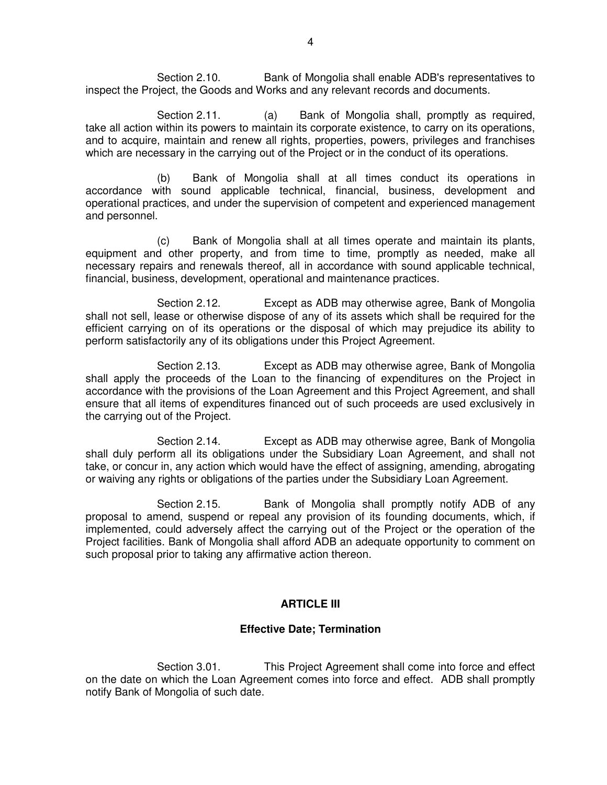Section 2.10. Bank of Mongolia shall enable ADB's representatives to inspect the Project, the Goods and Works and any relevant records and documents.

Section 2.11. (a) Bank of Mongolia shall, promptly as required, take all action within its powers to maintain its corporate existence, to carry on its operations, and to acquire, maintain and renew all rights, properties, powers, privileges and franchises which are necessary in the carrying out of the Project or in the conduct of its operations.

 (b) Bank of Mongolia shall at all times conduct its operations in accordance with sound applicable technical, financial, business, development and operational practices, and under the supervision of competent and experienced management and personnel.

 (c) Bank of Mongolia shall at all times operate and maintain its plants, equipment and other property, and from time to time, promptly as needed, make all necessary repairs and renewals thereof, all in accordance with sound applicable technical, financial, business, development, operational and maintenance practices.

 Section 2.12. Except as ADB may otherwise agree, Bank of Mongolia shall not sell, lease or otherwise dispose of any of its assets which shall be required for the efficient carrying on of its operations or the disposal of which may prejudice its ability to perform satisfactorily any of its obligations under this Project Agreement.

 Section 2.13. Except as ADB may otherwise agree, Bank of Mongolia shall apply the proceeds of the Loan to the financing of expenditures on the Project in accordance with the provisions of the Loan Agreement and this Project Agreement, and shall ensure that all items of expenditures financed out of such proceeds are used exclusively in the carrying out of the Project.

 Section 2.14. Except as ADB may otherwise agree, Bank of Mongolia shall duly perform all its obligations under the Subsidiary Loan Agreement, and shall not take, or concur in, any action which would have the effect of assigning, amending, abrogating or waiving any rights or obligations of the parties under the Subsidiary Loan Agreement.

 Section 2.15. Bank of Mongolia shall promptly notify ADB of any proposal to amend, suspend or repeal any provision of its founding documents, which, if implemented, could adversely affect the carrying out of the Project or the operation of the Project facilities. Bank of Mongolia shall afford ADB an adequate opportunity to comment on such proposal prior to taking any affirmative action thereon.

### **ARTICLE III**

### **Effective Date; Termination**

Section 3.01. This Project Agreement shall come into force and effect on the date on which the Loan Agreement comes into force and effect. ADB shall promptly notify Bank of Mongolia of such date.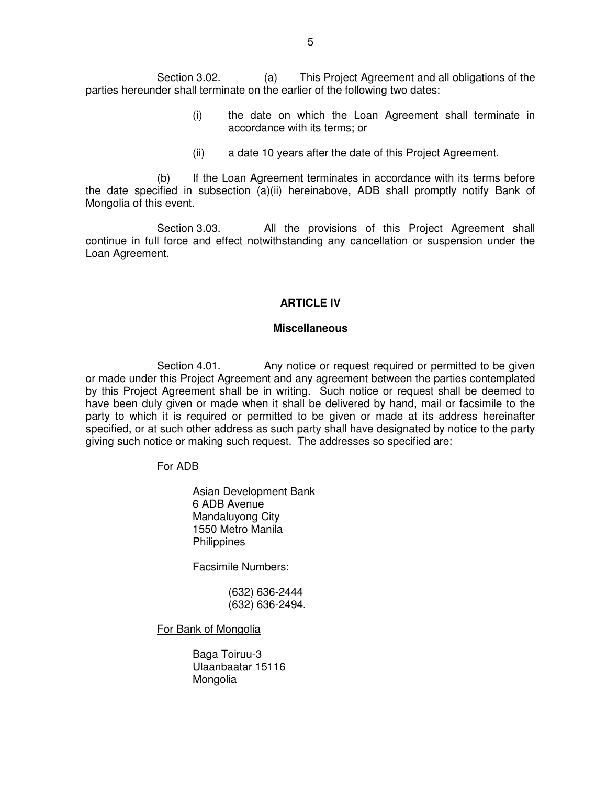Section 3.02. (a) This Project Agreement and all obligations of the parties hereunder shall terminate on the earlier of the following two dates:

- (i) the date on which the Loan Agreement shall terminate in accordance with its terms; or
- (ii) a date 10 years after the date of this Project Agreement.

(b) If the Loan Agreement terminates in accordance with its terms before the date specified in subsection (a)(ii) hereinabove, ADB shall promptly notify Bank of Mongolia of this event.

Section 3.03. All the provisions of this Project Agreement shall continue in full force and effect notwithstanding any cancellation or suspension under the Loan Agreement.

### **ARTICLE IV**

#### **Miscellaneous**

Section 4.01. Any notice or request required or permitted to be given or made under this Project Agreement and any agreement between the parties contemplated by this Project Agreement shall be in writing. Such notice or request shall be deemed to have been duly given or made when it shall be delivered by hand, mail or facsimile to the party to which it is required or permitted to be given or made at its address hereinafter specified, or at such other address as such party shall have designated by notice to the party giving such notice or making such request. The addresses so specified are:

### For ADB

Asian Development Bank 6 ADB Avenue Mandaluyong City 1550 Metro Manila **Philippines** 

Facsimile Numbers:

 (632) 636-2444 (632) 636-2494.

For Bank of Mongolia

 Baga Toiruu-3 Ulaanbaatar 15116 Mongolia